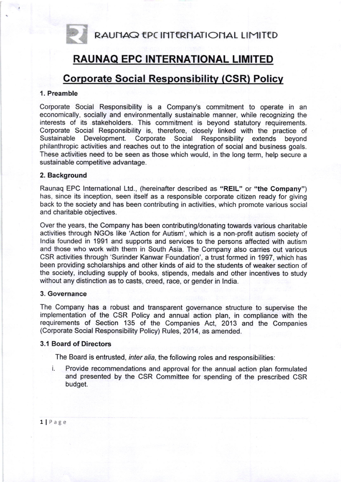RAUNAQ EPC INTERNATIONAL LIMITED

# RAUNAQ EPC INTERNATIONAL LIMITED

# **Corporate Social Responsibility (CSR) Policy**

# 1. Preamble

Corporate Social Responsibility is a Company's commitment to operate in an economically, socially and environmentally sustainable manner, while recognizing the interests of its stakeholders. This commitment is beyond statutory requirements. Corporate Social Responsibility is, therefore, closely linked with the practice of Development. Corporate Social Responsibility extends beyond philanthropic activities and reaches out to the integration of social and business goals. These activities need to be seen as those which would, in the long term, help secure a sustainable competitive advantage.

# 2. Background

Raunaq EPC lnternational Ltd., (hereinafter described as "REIL" or "the Company") has, since its inception, seen itself as a responsible corporate citizen ready for giving back to the society and has been contributing in activities, which promote various social and charitable objectives.

Over the years, the Company has been contributing/donating towards various charitable activities through NGOs like 'Action for Autism', which is a non-profit autism society of lndia founded in 1991 and supports and services to the persons affected with autism and those who work with them in South Asia. The Company also carries out various CSR activities through 'Surinder Kanwar Foundation', a trust formed in 1997, which has been providing scholarships and other kinds of aid to the students of weaker section of the society, including supply of books, stipends, medals and other incentives to study without any distinction as to casts, creed, race, or gender in lndia.

#### 3. Governance

The Company has a robust and transparent governance structure to supervise the implementation of the CSR Policy and annual action plan, in compliance with the requirements of Section 135 of the Companies Act, 2013 and the Companies (Corporate Social Responsibility Policy) Rules, 2014, as amended.

# 3.1 Board of Directors

The Board is entrusted, inter alia, the following roles and responsibilities:

Provide recommendations and approval for the annual action plan formulated and presented by the CSR Committee for spending of the prescribed CSR budget.

llPage